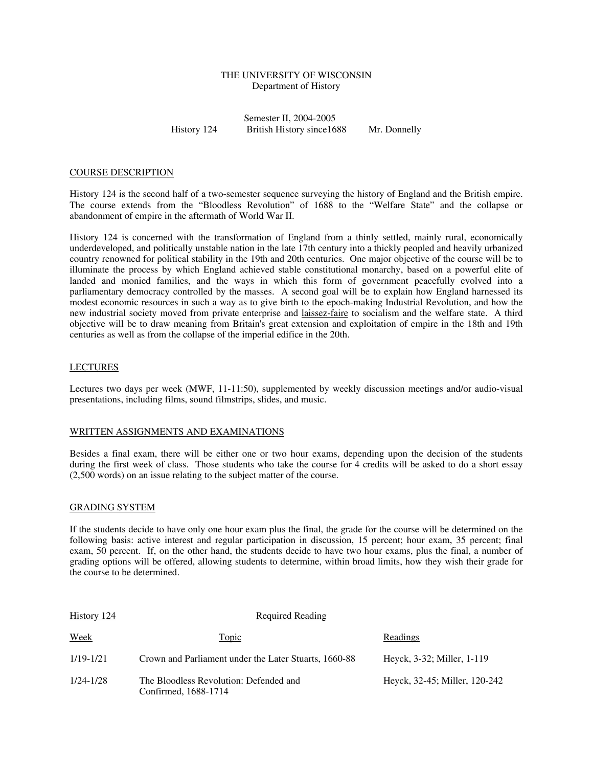# THE UNIVERSITY OF WISCONSIN Department of History

Semester II, 2004-2005 History 124 British History since1688 Mr. Donnelly

#### COURSE DESCRIPTION

History 124 is the second half of a two-semester sequence surveying the history of England and the British empire. The course extends from the "Bloodless Revolution" of 1688 to the "Welfare State" and the collapse or abandonment of empire in the aftermath of World War II.

History 124 is concerned with the transformation of England from a thinly settled, mainly rural, economically underdeveloped, and politically unstable nation in the late 17th century into a thickly peopled and heavily urbanized country renowned for political stability in the 19th and 20th centuries. One major objective of the course will be to illuminate the process by which England achieved stable constitutional monarchy, based on a powerful elite of landed and monied families, and the ways in which this form of government peacefully evolved into a parliamentary democracy controlled by the masses. A second goal will be to explain how England harnessed its modest economic resources in such a way as to give birth to the epoch-making Industrial Revolution, and how the new industrial society moved from private enterprise and laissez-faire to socialism and the welfare state. A third objective will be to draw meaning from Britain's great extension and exploitation of empire in the 18th and 19th centuries as well as from the collapse of the imperial edifice in the 20th.

## LECTURES

Lectures two days per week (MWF, 11-11:50), supplemented by weekly discussion meetings and/or audio-visual presentations, including films, sound filmstrips, slides, and music.

#### WRITTEN ASSIGNMENTS AND EXAMINATIONS

Besides a final exam, there will be either one or two hour exams, depending upon the decision of the students during the first week of class. Those students who take the course for 4 credits will be asked to do a short essay (2,500 words) on an issue relating to the subject matter of the course.

### GRADING SYSTEM

If the students decide to have only one hour exam plus the final, the grade for the course will be determined on the following basis: active interest and regular participation in discussion, 15 percent; hour exam, 35 percent; final exam, 50 percent. If, on the other hand, the students decide to have two hour exams, plus the final, a number of grading options will be offered, allowing students to determine, within broad limits, how they wish their grade for the course to be determined.

| History 124   | <b>Required Reading</b>                                        |                               |
|---------------|----------------------------------------------------------------|-------------------------------|
| <u>Week</u>   | <u>Topic</u>                                                   | Readings                      |
| 1/19-1/21     | Crown and Parliament under the Later Stuarts, 1660-88          | Heyck, 3-32; Miller, 1-119    |
| $1/24 - 1/28$ | The Bloodless Revolution: Defended and<br>Confirmed, 1688-1714 | Heyck, 32-45; Miller, 120-242 |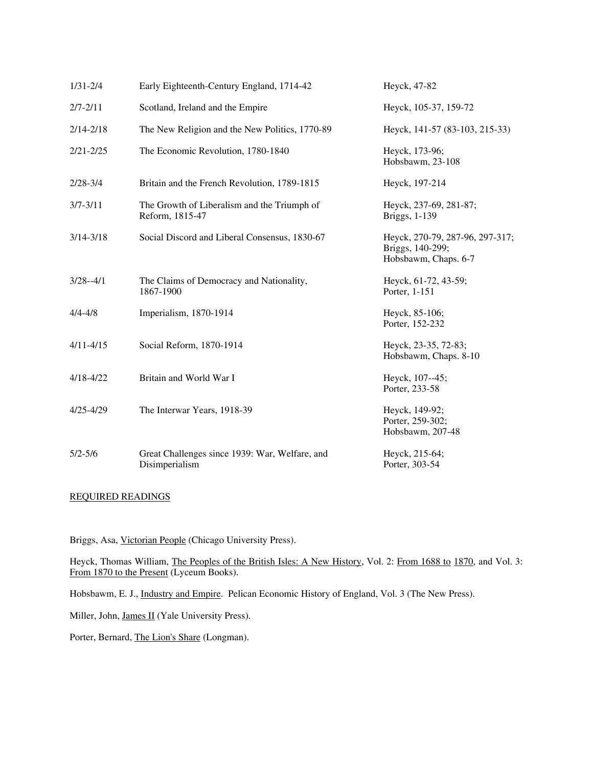| $1/31 - 2/4$  | Early Eighteenth-Century England, 1714-42                        | Heyck, 47-82                                                                |
|---------------|------------------------------------------------------------------|-----------------------------------------------------------------------------|
| $2/7 - 2/11$  | Scotland, Ireland and the Empire                                 | Heyck, 105-37, 159-72                                                       |
| $2/14 - 2/18$ | The New Religion and the New Politics, 1770-89                   | Heyck, 141-57 (83-103, 215-33)                                              |
| $2/21 - 2/25$ | The Economic Revolution, 1780-1840                               | Heyck, 173-96;<br>Hobsbawm, 23-108                                          |
| $2/28 - 3/4$  | Britain and the French Revolution, 1789-1815                     | Heyck, 197-214                                                              |
| $3/7 - 3/11$  | The Growth of Liberalism and the Triumph of<br>Reform, 1815-47   | Heyck, 237-69, 281-87;<br>Briggs, 1-139                                     |
| $3/14 - 3/18$ | Social Discord and Liberal Consensus, 1830-67                    | Heyck, 270-79, 287-96, 297-317;<br>Briggs, 140-299;<br>Hobsbawm, Chaps. 6-7 |
| $3/28 - 4/1$  | The Claims of Democracy and Nationality,<br>1867-1900            | Heyck, 61-72, 43-59;<br>Porter, 1-151                                       |
| $4/4 - 4/8$   | Imperialism, 1870-1914                                           | Heyck, 85-106;<br>Porter, 152-232                                           |
| $4/11 - 4/15$ | Social Reform, 1870-1914                                         | Heyck, 23-35, 72-83;<br>Hobsbawm, Chaps. 8-10                               |
| $4/18 - 4/22$ | Britain and World War I                                          | Heyck, 107--45;<br>Porter, 233-58                                           |
| $4/25 - 4/29$ | The Interwar Years, 1918-39                                      | Heyck, 149-92;<br>Porter, 259-302;<br>Hobsbawm, 207-48                      |
| $5/2 - 5/6$   | Great Challenges since 1939: War, Welfare, and<br>Disimperialism | Heyck, 215-64;<br>Porter, 303-54                                            |

# REQUIRED READINGS

Briggs, Asa, Victorian People (Chicago University Press).

Heyck, Thomas William, The Peoples of the British Isles: A New History, Vol. 2: From 1688 to 1870, and Vol. 3: From 1870 to the Present (Lyceum Books).

Hobsbawm, E. J., Industry and Empire. Pelican Economic History of England, Vol. 3 (The New Press).

Miller, John, James II (Yale University Press).

Porter, Bernard, The Lion's Share (Longman).